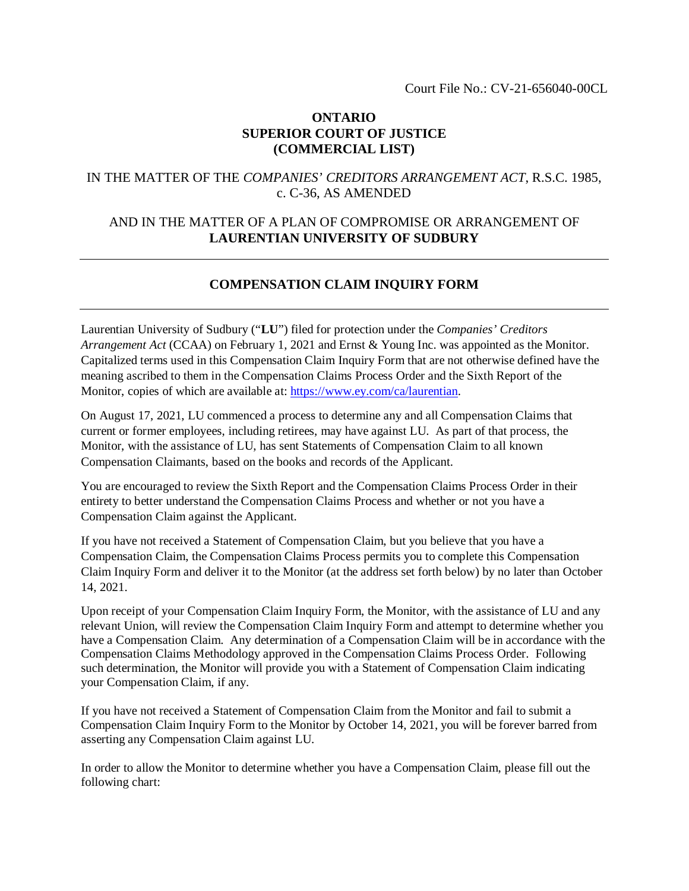### **ONTARIO SUPERIOR COURT OF JUSTICE (COMMERCIAL LIST)**

### IN THE MATTER OF THE *COMPANIES' CREDITORS ARRANGEMENT ACT*, R.S.C. 1985, c. C-36, AS AMENDED

## AND IN THE MATTER OF A PLAN OF COMPROMISE OR ARRANGEMENT OF **LAURENTIAN UNIVERSITY OF SUDBURY**

# **COMPENSATION CLAIM INQUIRY FORM**

Laurentian University of Sudbury ("**LU**") filed for protection under the *Companies' Creditors Arrangement Act* (CCAA) on February 1, 2021 and Ernst & Young Inc. was appointed as the Monitor. Capitalized terms used in this Compensation Claim Inquiry Form that are not otherwise defined have the meaning ascribed to them in the Compensation Claims Process Order and the Sixth Report of the Monitor, copies of which are available at: https://www.ey.com/ca/laurentian.

On August 17, 2021, LU commenced a process to determine any and all Compensation Claims that current or former employees, including retirees, may have against LU. As part of that process, the Monitor, with the assistance of LU, has sent Statements of Compensation Claim to all known Compensation Claimants, based on the books and records of the Applicant.

You are encouraged to review the Sixth Report and the Compensation Claims Process Order in their entirety to better understand the Compensation Claims Process and whether or not you have a Compensation Claim against the Applicant.

If you have not received a Statement of Compensation Claim, but you believe that you have a Compensation Claim, the Compensation Claims Process permits you to complete this Compensation Claim Inquiry Form and deliver it to the Monitor (at the address set forth below) by no later than October 14, 2021.

Upon receipt of your Compensation Claim Inquiry Form, the Monitor, with the assistance of LU and any relevant Union, will review the Compensation Claim Inquiry Form and attempt to determine whether you have a Compensation Claim. Any determination of a Compensation Claim will be in accordance with the Compensation Claims Methodology approved in the Compensation Claims Process Order. Following such determination, the Monitor will provide you with a Statement of Compensation Claim indicating your Compensation Claim, if any.

If you have not received a Statement of Compensation Claim from the Monitor and fail to submit a Compensation Claim Inquiry Form to the Monitor by October 14, 2021, you will be forever barred from asserting any Compensation Claim against LU.

In order to allow the Monitor to determine whether you have a Compensation Claim, please fill out the following chart: